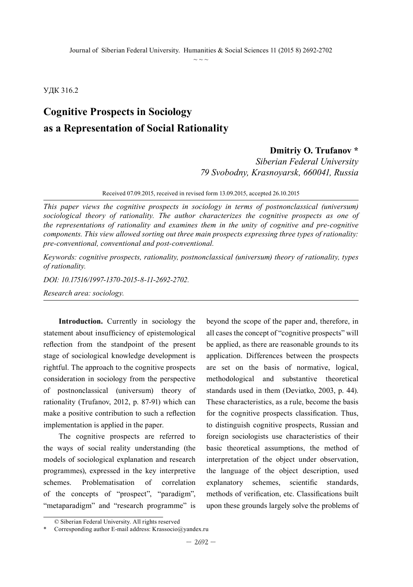УДК 316.2

# **Cognitive Prospects in Sociology as a Representation of Social Rationality**

### **Dmitriy O. Trufanov \***

*Siberian Federal University 79 Svobodny, Krasnoyarsk, 660041, Russia*

Received 07.09.2015, received in revised form 13.09.2015, accepted 26.10.2015

*This paper views the cognitive prospects in sociology in terms of postnonclassical (universum) sociological theory of rationality. The author characterizes the cognitive prospects as one of the representations of rationality and examines them in the unity of cognitive and pre-cognitive components. This view allowed sorting out three main prospects expressing three types of rationality: pre-conventional, conventional and post-conventional.*

*Keywords: cognitive prospects, rationality, postnonclassical (universum) theory of rationality, types of rationality.*

*DOI: 10.17516/1997-1370-2015-8-11-2692-2702.*

*Research area: sociology.*

**Introduction.** Currently in sociology the statement about insufficiency of epistemological reflection from the standpoint of the present stage of sociological knowledge development is rightful. The approach to the cognitive prospects consideration in sociology from the perspective of postnonclassical (universum) theory of rationality (Trufanov, 2012, p. 87-91) which can make a positive contribution to such a reflection implementation is applied in the paper.

The cognitive prospects are referred to the ways of social reality understanding (the models of sociological explanation and research programmes), expressed in the key interpretive schemes. Problematisation of correlation of the concepts of "prospect", "paradigm", "metaparadigm" and "research programme" is beyond the scope of the paper and, therefore, in all cases the concept of "cognitive prospects" will be applied, as there are reasonable grounds to its application. Differences between the prospects are set on the basis of normative, logical, methodological and substantive theoretical standards used in them (Deviatko, 2003, p. 44). These characteristics, as a rule, become the basis for the cognitive prospects classification. Thus, to distinguish cognitive prospects, Russian and foreign sociologists use characteristics of their basic theoretical assumptions, the method of interpretation of the object under observation, the language of the object description, used explanatory schemes, scientific standards, methods of verification, etc. Classifications built upon these grounds largely solve the problems of

<sup>©</sup> Siberian Federal University. All rights reserved

Corresponding author E-mail address: Krassocio@yandex.ru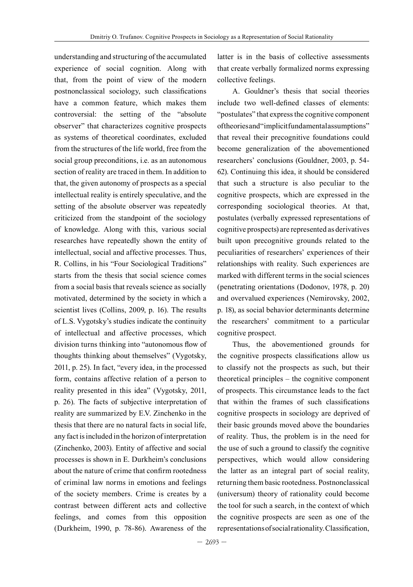understanding and structuring of the accumulated experience of social cognition. Along with that, from the point of view of the modern postnonclassical sociology, such classifications have a common feature, which makes them controversial: the setting of the "absolute observer" that characterizes cognitive prospects as systems of theoretical coordinates, excluded from the structures of the life world, free from the social group preconditions, i.e. as an autonomous section of reality are traced in them. In addition to that, the given autonomy of prospects as a special intellectual reality is entirely speculative, and the setting of the absolute observer was repeatedly criticized from the standpoint of the sociology of knowledge. Along with this, various social researches have repeatedly shown the entity of intellectual, social and affective processes. Thus, R. Collins, in his "Four Sociological Traditions" starts from the thesis that social science comes from a social basis that reveals science as socially motivated, determined by the society in which a scientist lives (Collins, 2009, p. 16). The results of L.S. Vygotsky's studies indicate the continuity of intellectual and affective processes, which division turns thinking into "autonomous flow of thoughts thinking about themselves" (Vygotsky, 2011, p. 25). In fact, "every idea, in the processed form, contains affective relation of a person to reality presented in this idea" (Vygotsky, 2011, p. 26). The facts of subjective interpretation of reality are summarized by E.V. Zinchenko in the thesis that there are no natural facts in social life, any fact is included in the horizon of interpretation (Zinchenko, 2003). Entity of affective and social processes is shown in E. Durkheim's conclusions about the nature of crime that confirm rootedness of criminal law norms in emotions and feelings of the society members. Crime is creates by a contrast between different acts and collective feelings, and comes from this opposition (Durkheim, 1990, p. 78-86). Awareness of the

latter is in the basis of collective assessments that create verbally formalized norms expressing collective feelings.

A. Gouldner's thesis that social theories include two well-defined classes of elements: "postulates" that express the cognitive component of theories and "implicit fundamental assumptions" that reveal their precognitive foundations could become generalization of the abovementioned researchers' conclusions (Gouldner, 2003, p. 54- 62). Continuing this idea, it should be considered that such a structure is also peculiar to the cognitive prospects, which are expressed in the corresponding sociological theories. At that, postulates (verbally expressed representations of cognitive prospects) are represented as derivatives built upon precognitive grounds related to the peculiarities of researchers' experiences of their relationships with reality. Such experiences are marked with different terms in the social sciences (penetrating orientations (Dodonov, 1978, p. 20) and overvalued experiences (Nemirovsky, 2002, p. 18), as social behavior determinants determine the researchers' commitment to a particular cognitive prospect.

Thus, the abovementioned grounds for the cognitive prospects classifications allow us to classify not the prospects as such, but their theoretical principles – the cognitive component of prospects. This circumstance leads to the fact that within the frames of such classifications cognitive prospects in sociology are deprived of their basic grounds moved above the boundaries of reality. Thus, the problem is in the need for the use of such a ground to classify the cognitive perspectives, which would allow considering the latter as an integral part of social reality, returning them basic rootedness. Postnonclassical (universum) theory of rationality could become the tool for such a search, in the context of which the cognitive prospects are seen as one of the representations of social rationality. Classification,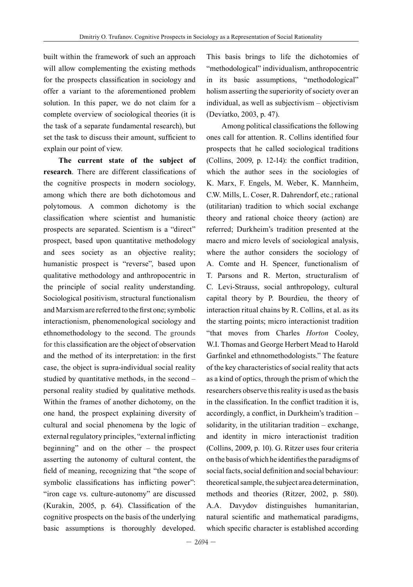built within the framework of such an approach will allow complementing the existing methods for the prospects classification in sociology and offer a variant to the aforementioned problem solution. In this paper, we do not claim for a complete overview of sociological theories (it is the task of a separate fundamental research), but set the task to discuss their amount, sufficient to explain our point of view.

**The current state of the subject of research**. There are different classifications of the cognitive prospects in modern sociology, among which there are both dichotomous and polytomous. A common dichotomy is the classification where scientist and humanistic prospects are separated. Scientism is a "direct" prospect, based upon quantitative methodology and sees society as an objective reality; humanistic prospect is "reverse", based upon qualitative methodology and anthropocentric in the principle of social reality understanding. Sociological positivism, structural functionalism and Marxism are referred to the first one; symbolic interactionism, phenomenological sociology and ethnomethodology to the second. The grounds for this classification are the object of observation and the method of its interpretation: in the first case, the object is supra-individual social reality studied by quantitative methods, in the second – personal reality studied by qualitative methods. Within the frames of another dichotomy, on the one hand, the prospect explaining diversity of cultural and social phenomena by the logic of external regulatory principles, "external inflicting beginning" and on the other – the prospect asserting the autonomy of cultural content, the field of meaning, recognizing that "the scope of symbolic classifications has inflicting power": "iron cage vs. culture-autonomy" are discussed (Kurakin, 2005, p. 64). Classification of the cognitive prospects on the basis of the underlying basic assumptions is thoroughly developed.

This basis brings to life the dichotomies of "methodological" individualism, anthropocentric in its basic assumptions, "methodological" holism asserting the superiority of society over an individual, as well as subjectivism – objectivism (Deviatko, 2003, p. 47).

Among political classifications the following ones call for attention. R. Collins identified four prospects that he called sociological traditions (Collins, 2009, p. 12-14): the conflict tradition, which the author sees in the sociologies of K. Marx, F. Engels, M. Weber, K. Mannheim, C.W. Mills, L. Coser, R. Dahrendorf, etc.; rational (utilitarian) tradition to which social exchange theory and rational choice theory (action) are referred; Durkheim's tradition presented at the macro and micro levels of sociological analysis, where the author considers the sociology of A. Comte and H. Spencer, functionalism of T. Parsons and R. Merton, structuralism of C. Levi-Strauss, social anthropology, cultural capital theory by P. Bourdieu, the theory of interaction ritual chains by R. Collins, et al. as its the starting points; micro interactionist tradition "that moves from Charles *Horton* Cooley, W.I. Thomas and George Herbert Mead to Harold Garfinkel and ethnomethodologists." The feature of the key characteristics of social reality that acts as a kind of optics, through the prism of which the researchers observe this reality is used as the basis in the classification. In the conflict tradition it is, accordingly, a conflict, in Durkheim's tradition – solidarity, in the utilitarian tradition – exchange, and identity in micro interactionist tradition (Collins, 2009, p. 10). G. Ritzer uses four criteria on the basis of which he identifies the paradigms of social facts, social definition and social behaviour: theoretical sample, the subject area determination, methods and theories (Ritzer, 2002, p. 580). A.A. Davydov distinguishes humanitarian, natural scientific and mathematical paradigms, which specific character is established according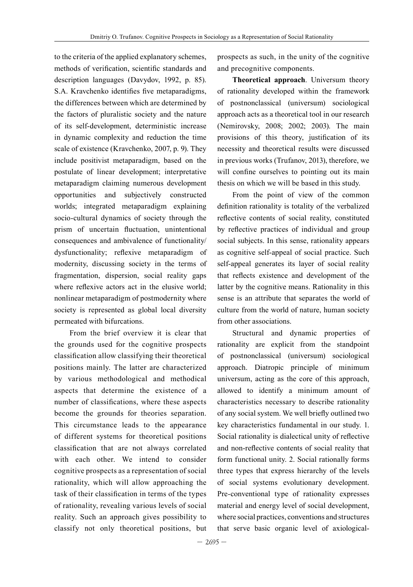to the criteria of the applied explanatory schemes, methods of verification, scientific standards and description languages (Davydov, 1992, p. 85). S.A. Kravchenko identifies five metaparadigms, the differences between which are determined by the factors of pluralistic society and the nature of its self-development, deterministic increase in dynamic complexity and reduction the time scale of existence (Kravchenko, 2007, p. 9). They include positivist metaparadigm, based on the postulate of linear development; interpretative metaparadigm claiming numerous development opportunities and subjectively constructed worlds; integrated metaparadigm explaining socio-cultural dynamics of society through the prism of uncertain fluctuation, unintentional consequences and ambivalence of functionality/ dysfunctionality; reflexive metaparadigm of modernity, discussing society in the terms of fragmentation, dispersion, social reality gaps where reflexive actors act in the elusive world; nonlinear metaparadigm of postmodernity where society is represented as global local diversity permeated with bifurcations.

From the brief overview it is clear that the grounds used for the cognitive prospects classification allow classifying their theoretical positions mainly. The latter are characterized by various methodological and methodical aspects that determine the existence of a number of classifications, where these aspects become the grounds for theories separation. This circumstance leads to the appearance of different systems for theoretical positions classification that are not always correlated with each other. We intend to consider cognitive prospects as a representation of social rationality, which will allow approaching the task of their classification in terms of the types of rationality, revealing various levels of social reality. Such an approach gives possibility to classify not only theoretical positions, but

prospects as such, in the unity of the cognitive and precognitive components.

**Theoretical approach**. Universum theory of rationality developed within the framework of postnonclassical (universum) sociological approach acts as a theoretical tool in our research (Nemirovsky, 2008; 2002; 2003). The main provisions of this theory, justification of its necessity and theoretical results were discussed in previous works (Trufanov, 2013), therefore, we will confine ourselves to pointing out its main thesis on which we will be based in this study.

From the point of view of the common definition rationality is totality of the verbalized reflective contents of social reality, constituted by reflective practices of individual and group social subjects. In this sense, rationality appears as cognitive self-appeal of social practice. Such self-appeal generates its layer of social reality that reflects existence and development of the latter by the cognitive means. Rationality in this sense is an attribute that separates the world of culture from the world of nature, human society from other associations.

Structural and dynamic properties of rationality are explicit from the standpoint of postnonclassical (universum) sociological approach. Diatropic principle of minimum universum, acting as the core of this approach, allowed to identify a minimum amount of characteristics necessary to describe rationality of any social system. We well briefly outlined two key characteristics fundamental in our study. 1. Social rationality is dialectical unity of reflective and non-reflective contents of social reality that form functional unity. 2. Social rationally forms three types that express hierarchy of the levels of social systems evolutionary development. Pre-conventional type of rationality expresses material and energy level of social development, where social practices, conventions and structures that serve basic organic level of axiological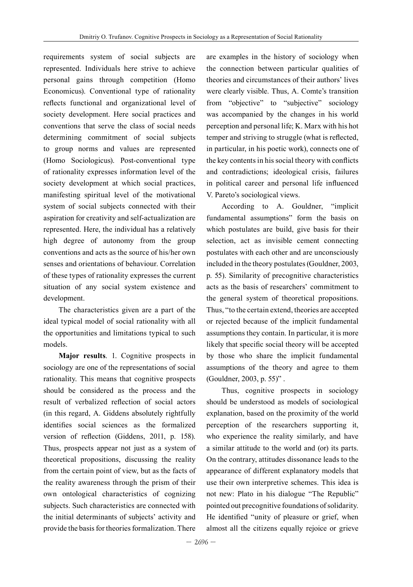requirements system of social subjects are represented. Individuals here strive to achieve personal gains through competition (Homo Economicus). Conventional type of rationality reflects functional and organizational level of society development. Here social practices and conventions that serve the class of social needs determining commitment of social subjects to group norms and values are represented (Homo Sociologicus). Post-conventional type of rationality expresses information level of the society development at which social practices, manifesting spiritual level of the motivational system of social subjects connected with their aspiration for creativity and self-actualization are represented. Here, the individual has a relatively high degree of autonomy from the group conventions and acts as the source of his/her own senses and orientations of behaviour. Correlation of these types of rationality expresses the current situation of any social system existence and development.

The characteristics given are a part of the ideal typical model of social rationality with all the opportunities and limitations typical to such models.

**Major results**. 1. Cognitive prospects in sociology are one of the representations of social rationality. This means that cognitive prospects should be considered as the process and the result of verbalized reflection of social actors (in this regard, A. Giddens absolutely rightfully identifies social sciences as the formalized version of reflection (Giddens, 2011, p. 158). Thus, prospects appear not just as a system of theoretical propositions, discussing the reality from the certain point of view, but as the facts of the reality awareness through the prism of their own ontological characteristics of cognizing subjects. Such characteristics are connected with the initial determinants of subjects' activity and provide the basis for theories formalization. There

are examples in the history of sociology when the connection between particular qualities of theories and circumstances of their authors' lives were clearly visible. Thus, A. Comte's transition from "objective" to "subjective" sociology was accompanied by the changes in his world perception and personal life; K. Marx with his hot temper and striving to struggle (what is reflected, in particular, in his poetic work), connects one of the key contents in his social theory with conflicts and contradictions; ideological crisis, failures in political career and personal life influenced V. Pareto's sociological views.

According to A. Gouldner, "implicit fundamental assumptions" form the basis on which postulates are build, give basis for their selection, act as invisible cement connecting postulates with each other and are unconsciously included in the theory postulates (Gouldner, 2003, p. 55). Similarity of precognitive characteristics acts as the basis of researchers' commitment to the general system of theoretical propositions. Thus, "to the certain extend, theories are accepted or rejected because of the implicit fundamental assumptions they contain. In particular, it is more likely that specific social theory will be accepted by those who share the implicit fundamental assumptions of the theory and agree to them (Gouldner, 2003, p. 55)" .

Thus, cognitive prospects in sociology should be understood as models of sociological explanation, based on the proximity of the world perception of the researchers supporting it, who experience the reality similarly, and have a similar attitude to the world and (or) its parts. On the contrary, attitudes dissonance leads to the appearance of different explanatory models that use their own interpretive schemes. This idea is not new: Plato in his dialogue "The Republic" pointed out precognitive foundations of solidarity. He identified "unity of pleasure or grief, when almost all the citizens equally rejoice or grieve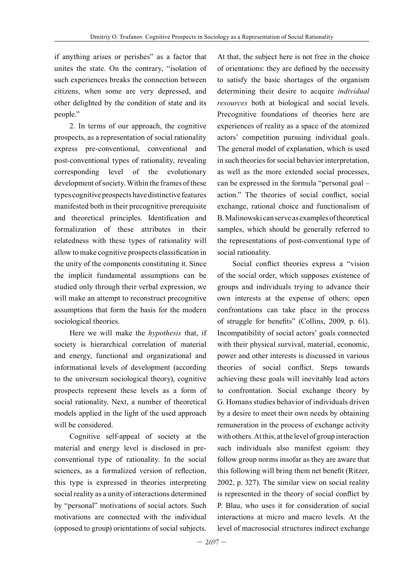if anything arises or perishes" as a factor that unites the state. On the contrary, "isolation of such experiences breaks the connection between citizens, when some are very depressed, and other delighted by the condition of state and its people."

2. In terms of our approach, the cognitive prospects, as a representation of social rationality express pre-conventional, conventional and post-conventional types of rationality, revealing corresponding level of the evolutionary development of society. Within the frames of these types cognitive prospects have distinctive features manifested both in their precognitive prerequisite and theoretical principles. Identification and formalization of these attributes in their relatedness with these types of rationality will allow to make cognitive prospects classification in the unity of the components constituting it. Since the implicit fundamental assumptions can be studied only through their verbal expression, we will make an attempt to reconstruct precognitive assumptions that form the basis for the modern sociological theories.

Here we will make the *hypothesis* that, if society is hierarchical correlation of material and energy, functional and organizational and informational levels of development (according to the universum sociological theory), cognitive prospects represent these levels as a form of social rationality. Next, a number of theoretical models applied in the light of the used approach will be considered.

Cognitive self-appeal of society at the material and energy level is disclosed in preconventional type of rationality. In the social sciences, as a formalized version of reflection, this type is expressed in theories interpreting social reality as a unity of interactions determined by "personal" motivations of social actors. Such motivations are connected with the individual (opposed to group) orientations of social subjects.

At that, the subject here is not free in the choice of orientations: they are defined by the necessity to satisfy the basic shortages of the organism determining their desire to acquire *individual resources* both at biological and social levels. Precognitive foundations of theories here are experiences of reality as a space of the atomized actors' competition pursuing individual goals. The general model of explanation, which is used in such theories for social behavior interpretation, as well as the more extended social processes, can be expressed in the formula "personal goal – action." The theories of social conflict, social exchange, rational choice and functionalism of B. Malinowski can serve as examples of theoretical samples, which should be generally referred to the representations of post-conventional type of social rationality.

Social conflict theories express a "vision of the social order, which supposes existence of groups and individuals trying to advance their own interests at the expense of others; open confrontations can take place in the process of struggle for benefits" (Collins, 2009, p. 61). Incompatibility of social actors' goals connected with their physical survival, material, economic, power and other interests is discussed in various theories of social conflict. Steps towards achieving these goals will inevitably lead actors to confrontation. Social exchange theory by G. Homans studies behavior of individuals driven by a desire to meet their own needs by obtaining remuneration in the process of exchange activity with others. At this, at the level of group interaction such individuals also manifest egoism: they follow group norms insofar as they are aware that this following will bring them net benefit (Ritzer, 2002, p. 327). The similar view on social reality is represented in the theory of social conflict by P. Blau, who uses it for consideration of social interactions at micro and macro levels. At the level of macrosocial structures indirect exchange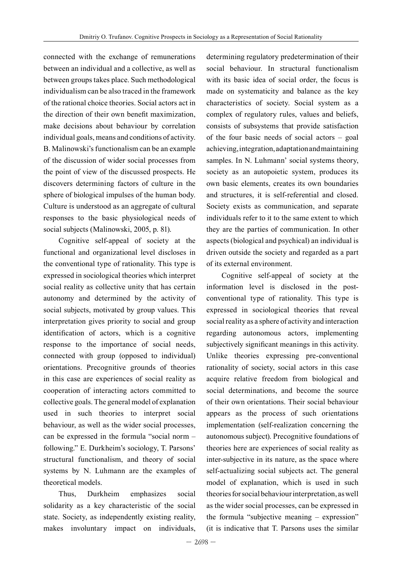connected with the exchange of remunerations between an individual and a collective, as well as between groups takes place. Such methodological individualism can be also traced in the framework of the rational choice theories. Social actors act in the direction of their own benefit maximization, make decisions about behaviour by correlation individual goals, means and conditions of activity. B. Malinowski's functionalism can be an example of the discussion of wider social processes from the point of view of the discussed prospects. He discovers determining factors of culture in the sphere of biological impulses of the human body. Culture is understood as an aggregate of cultural responses to the basic physiological needs of social subjects (Malinowski, 2005, p. 81).

Cognitive self-appeal of society at the functional and organizational level discloses in the conventional type of rationality. This type is expressed in sociological theories which interpret social reality as collective unity that has certain autonomy and determined by the activity of social subjects, motivated by group values. This interpretation gives priority to social and group identification of actors, which is a cognitive response to the importance of social needs, connected with group (opposed to individual) orientations. Precognitive grounds of theories in this case are experiences of social reality as cooperation of interacting actors committed to collective goals. The general model of explanation used in such theories to interpret social behaviour, as well as the wider social processes, can be expressed in the formula "social norm – following." E. Durkheim's sociology, T. Parsons' structural functionalism, and theory of social systems by N. Luhmann are the examples of theoretical models.

Thus, Durkheim emphasizes social solidarity as a key characteristic of the social state. Society, as independently existing reality, makes involuntary impact on individuals,

determining regulatory predetermination of their social behaviour. In structural functionalism with its basic idea of social order, the focus is made on systematicity and balance as the key characteristics of society. Social system as a complex of regulatory rules, values and beliefs, consists of subsystems that provide satisfaction of the four basic needs of social actors – goal achieving, integration, adaptation and maintaining samples. In N. Luhmann' social systems theory, society as an autopoietic system, produces its own basic elements, creates its own boundaries and structures, it is self-referential and closed. Society exists as communication, and separate individuals refer to it to the same extent to which they are the parties of communication. In other aspects (biological and psychical) an individual is driven outside the society and regarded as a part of its external environment.

Cognitive self-appeal of society at the information level is disclosed in the postconventional type of rationality. This type is expressed in sociological theories that reveal social reality as a sphere of activity and interaction regarding autonomous actors, implementing subjectively significant meanings in this activity. Unlike theories expressing pre-conventional rationality of society, social actors in this case acquire relative freedom from biological and social determinations, and become the source of their own orientations. Their social behaviour appears as the process of such orientations implementation (self-realization concerning the autonomous subject). Precognitive foundations of theories here are experiences of social reality as inter-subjective in its nature, as the space where self-actualizing social subjects act. The general model of explanation, which is used in such theories for social behaviour interpretation, as well as the wider social processes, can be expressed in the formula "subjective meaning – expression" (it is indicative that T. Parsons uses the similar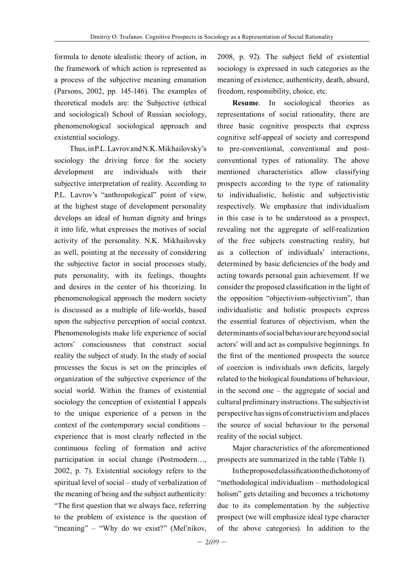formula to denote idealistic theory of action, in the framework of which action is represented as a process of the subjective meaning emanation (Parsons, 2002, pp. 145-146). The examples of theoretical models are: the Subjective (ethical and sociological) School of Russian sociology, phenomenological sociological approach and existential sociology.

Thus, in P.L. Lavrov and N.K. Mikhailovsky's sociology the driving force for the society development are individuals with their subjective interpretation of reality. According to P.L. Lavrov's "anthropological" point of view, at the highest stage of development personality develops an ideal of human dignity and brings it into life, what expresses the motives of social activity of the personality. N.K. Mikhailovsky as well, pointing at the necessity of considering the subjective factor in social processes study, puts personality, with its feelings, thoughts and desires in the center of his theorizing. In phenomenological approach the modern society is discussed as a multiple of life-worlds, based upon the subjective perception of social context. Phenomenologists make life experience of social actors' consciousness that construct social reality the subject of study. In the study of social processes the focus is set on the principles of organization of the subjective experience of the social world. Within the frames of existential sociology the conception of existential I appeals to the unique experience of a person in the context of the contemporary social conditions – experience that is most clearly reflected in the continuous feeling of formation and active participation in social change (Postmodern…, 2002, p. 7). Existential sociology refers to the spiritual level of social – study of verbalization of the meaning of being and the subject authenticity: "The first question that we always face, referring to the problem of existence is the question of "meaning" – "Why do we exist?" (Mel'nikov,

2008, p. 92). The subject field of existential sociology is expressed in such categories as the meaning of existence, authenticity, death, absurd, freedom, responsibility, choice, etc.

**Resume**. In sociological theories as representations of social rationality, there are three basic cognitive prospects that express cognitive self-appeal of society and correspond to pre-conventional, conventional and postconventional types of rationality. The above mentioned characteristics allow classifying prospects according to the type of rationality to individualistic, holistic and subjectivistic respectively. We emphasize that individualism in this case is to be understood as a prospect, revealing not the aggregate of self-realization of the free subjects constructing reality, but as a collection of individuals' interactions, determined by basic deficiencies of the body and acting towards personal gain achievement. If we consider the proposed classification in the light of the opposition "objectivism-subjectivism", than individualistic and holistic prospects express the essential features of objectivism, when the determinants of social behaviour are beyond social actors' will and act as compulsive beginnings. In the first of the mentioned prospects the source of coercion is individuals own deficits, largely related to the biological foundations of behaviour, in the second one – the aggregate of social and cultural preliminary instructions. The subjectivist perspective has signs of constructivism and places the source of social behaviour to the personal reality of the social subject.

Major characteristics of the aforementioned prospects are summarized in the table (Table 1).

In the proposed classification the dichotomy of "methodological individualism – methodological holism" gets detailing and becomes a trichotomy due to its complementation by the subjective prospect (we will emphasize ideal type character of the above categories). In addition to the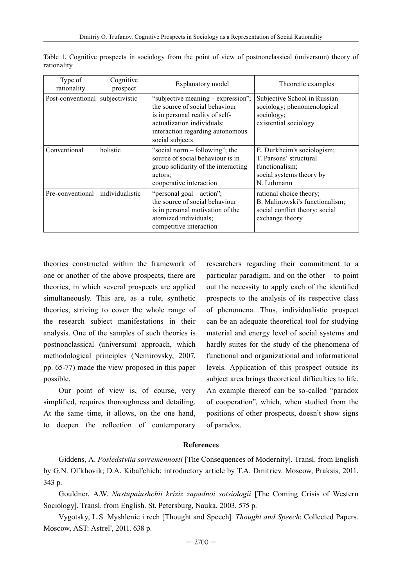| Type of<br>rationality | Cognitive<br>prospect | Explanatory model                                                                                                                                                                            | Theoretic examples                                                                                               |
|------------------------|-----------------------|----------------------------------------------------------------------------------------------------------------------------------------------------------------------------------------------|------------------------------------------------------------------------------------------------------------------|
| Post-conventional      | subjectivistic        | "subjective meaning – expression";<br>the source of social behaviour<br>is in personal reality of self-<br>actualization individuals;<br>interaction regarding autonomous<br>social subjects | Subjective School in Russian<br>sociology; phenomenological<br>sociology;<br>existential sociology               |
| Conventional           | holistic              | "social norm – following"; the<br>source of social behaviour is in<br>group solidarity of the interacting<br>actors:<br>cooperative interaction                                              | E. Durkheim's sociologism;<br>T. Parsons' structural<br>functionalism:<br>social systems theory by<br>N. Luhmann |
| Pre-conventional       | individualistic       | "personal goal – action";<br>the source of social behaviour<br>is in personal motivation of the<br>atomized individuals;<br>competitive interaction                                          | rational choice theory;<br>B. Malinowski's functionalism;<br>social conflict theory; social<br>exchange theory   |

Table 1. Cognitive prospects in sociology from the point of view of postnonclassical (universum) theory of rationality

theories constructed within the framework of one or another of the above prospects, there are theories, in which several prospects are applied simultaneously. This are, as a rule, synthetic theories, striving to cover the whole range of the research subject manifestations in their analysis. One of the samples of such theories is postnonclassical (universum) approach, which methodological principles (Nemirovsky, 2007, pp. 65-77) made the view proposed in this paper possible.

Our point of view is, of course, very simplified, requires thoroughness and detailing. At the same time, it allows, on the one hand, to deepen the reflection of contemporary researchers regarding their commitment to a particular paradigm, and on the other – to point out the necessity to apply each of the identified prospects to the analysis of its respective class of phenomena. Thus, individualistic prospect can be an adequate theoretical tool for studying material and energy level of social systems and hardly suites for the study of the phenomena of functional and organizational and informational levels. Application of this prospect outside its subject area brings theoretical difficulties to life. An example thereof can be so-called "paradox of cooperation", which, when studied from the positions of other prospects, doesn't show signs of paradox.

#### **References**

Giddens, A. *Posledstviia sovremennosti* [The Consequences of Modernity]. Transl. from English by G.N. Ol'khovik; D.A. Kibal'chich; introductory article by T.A. Dmitriev. Moscow, Praksis, 2011. 343 p.

Gouldner, A.W. *Nastupaiushchii kriziz zapadnoi sotsiologii* [The Coming Crisis of Western Sociology]. Transl. from English. St. Petersburg, Nauka, 2003. 575 p.

Vygotsky, L.S. Myshlenie i rech [Thought and Speech]. *Thought and Speech*: Collected Papers. Moscow, AST: Astrel', 2011. 638 p.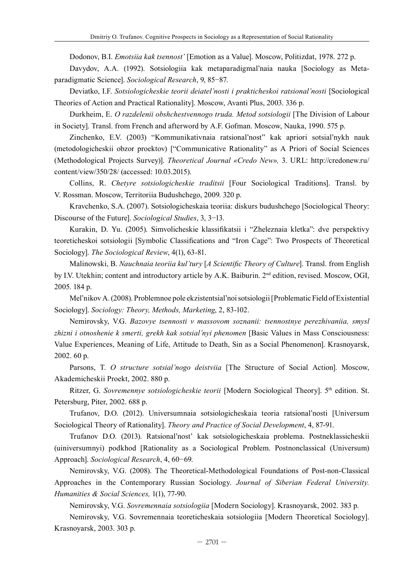Dodonov, B.I. *Emotsiia kak tsennost'* [Emotion as a Value]. Moscow, Politizdat, 1978. 272 p.

Davydov, A.A. (1992). Sotsiologiia kak metaparadigmal'naia nauka [Sociology as Metaparadigmatic Science]. *Sociological Research*, 9, 85−87.

Deviatko, I.F. *Sotsiologicheskie teorii deiatel'nosti i prakticheskoi ratsional'nosti* [Sociological Theories of Action and Practical Rationality]. Moscow, Avanti Plus, 2003. 336 p.

Durkheim, E. *O razdelenii obshchestvennogo truda. Metod sotsiologii* [The Division of Labour in Society]. Transl. from French and afterword by A.F. Gofman. Moscow, Nauka, 1990. 575 p.

Zinchenko, E.V. (2003) "Kommunikativnaia ratsional'nost" kak apriori sotsial'nykh nauk (metodologicheskii obzor proektov) ["Communicative Rationality" as A Priori of Social Sciences (Methodological Projects Survey)]. *Theoretical Journal «Credo New»,* 3. URL: http://credonew.ru/ content/view/350/28/ (accessed: 10.03.2015).

Collins, R. *Chetyre sotsiologicheskie traditsii* [Four Sociological Traditions]. Transl. by V. Rossman. Moscow, Territoriia Budushchego, 2009. 320 p.

Kravchenko, S.A. (2007). Sotsiologicheskaia teoriia: diskurs budushchego [Sociological Theory: Discourse of the Future]. *Sociological Studies*, 3, 3−13.

Kurakin, D. Yu. (2005). Simvolicheskie klassifikatsii i "Zheleznaia kletka": dve perspektivy teoreticheskoi sotsiologii [Symbolic Classifications and "Iron Cage": Two Prospects of Theoretical Sociology]. *The Sociological Review*, 4(1), 63-81.

Malinowski, B. *Nauchnaia teoriia kul'tury* [*A Scientific Theory of Culture*]. Transl. from English by I.V. Utekhin; content and introductory article by A.K. Baiburin. 2nd edition, revised. Moscow, OGI, 2005. 184 p.

Mel'nikov A. (2008). Problemnoe pole ekzistentsial'noi sotsiologii [Problematic Field of Existential Sociology]. *Sociology: Theory, Methods, Marketing*, 2, 83-102.

Nemirovsky, V.G. *Bazovye tsennosti v massovom soznanii: tsennostnye perezhivaniia, smysl zhizni i otnoshenie k smerti, grekh kak sotsial'nyi phenomen* [Basic Values in Mass Consciousness: Value Experiences, Meaning of Life, Attitude to Death, Sin as a Social Phenomenon]. Krasnoyarsk, 2002. 60 p.

Parsons, T. *O structure sotsial'nogo deistviia* [The Structure of Social Action]. Moscow, Akademicheskii Proekt, 2002. 880 p.

Ritzer, G. Sovremennye sotsiologicheskie teorii [Modern Sociological Theory]. 5<sup>th</sup> edition. St. Petersburg, Piter, 2002. 688 p.

Trufanov, D.O. (2012). Universumnaia sotsiologicheskaia teoria ratsional'nosti [Universum Sociological Theory of Rationality]. *Theory and Practice of Social Development*, 4, 87-91.

Trufanov D.O. (2013). Ratsional'nost' kak sotsiologicheskaia problema. Postneklassicheskii (uiniversumnyi) podkhod [Rationality as a Sociological Problem. Postnonclassical (Universum) Approach]. *Sociological Research*, 4, 60−69.

Nemirovsky, V.G. (2008). The Theoretical-Methodological Foundations of Post-non-Classical Approaches in the Contemporary Russian Sociology. *Journal of Siberian Federal University. Humanities & Social Sciences,* 1(1), 77-90.

Nemirovsky, V.G. *Sovremennaia sotsiologiia* [Modern Sociology]. Krasnoyarsk, 2002. 383 p.

Nemirovsky, V.G. Sovremennaia teoreticheskaia sotsiologiia [Modern Theoretical Sociology]. Krasnoyarsk, 2003. 303 p.